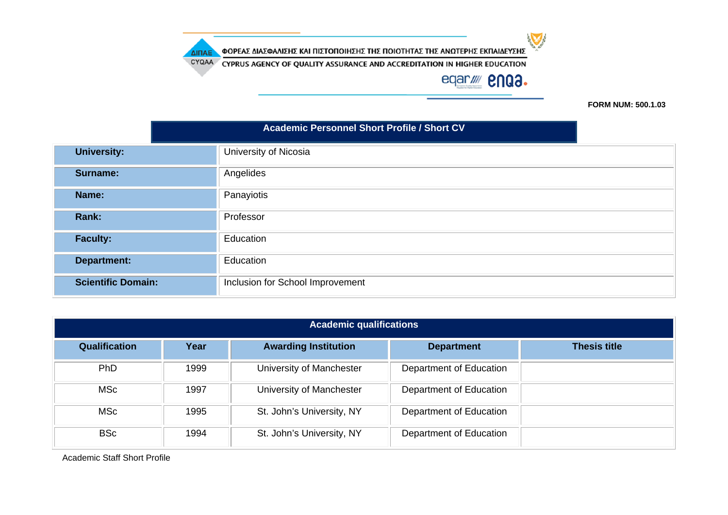CYQAA CYPRUS AGENCY OF QUALITY ASSURANCE AND ACCREDITATION IN HIGHER EDUCATION

ΔΙΠΑΕ

# eqar//// **2NQ3.**

 $\bigtriangledown$ 

**FORM NUM: 500.1.03**

|                           | <b>Academic Personnel Short Profile / Short CV</b> |  |  |  |
|---------------------------|----------------------------------------------------|--|--|--|
| <b>University:</b>        | University of Nicosia                              |  |  |  |
| Surname:                  | Angelides                                          |  |  |  |
| Name:                     | Panayiotis                                         |  |  |  |
| Rank:                     | Professor                                          |  |  |  |
| <b>Faculty:</b>           | Education                                          |  |  |  |
| <b>Department:</b>        | Education                                          |  |  |  |
| <b>Scientific Domain:</b> | Inclusion for School Improvement                   |  |  |  |

| <b>Academic qualifications</b> |      |                             |                         |                     |  |
|--------------------------------|------|-----------------------------|-------------------------|---------------------|--|
| <b>Qualification</b>           | Year | <b>Awarding Institution</b> | <b>Department</b>       | <b>Thesis title</b> |  |
| <b>PhD</b>                     | 1999 | University of Manchester    | Department of Education |                     |  |
| MSc                            | 1997 | University of Manchester    | Department of Education |                     |  |
| MSc                            | 1995 | St. John's University, NY   | Department of Education |                     |  |
| <b>BSc</b>                     | 1994 | St. John's University, NY   | Department of Education |                     |  |

Academic Staff Short Profile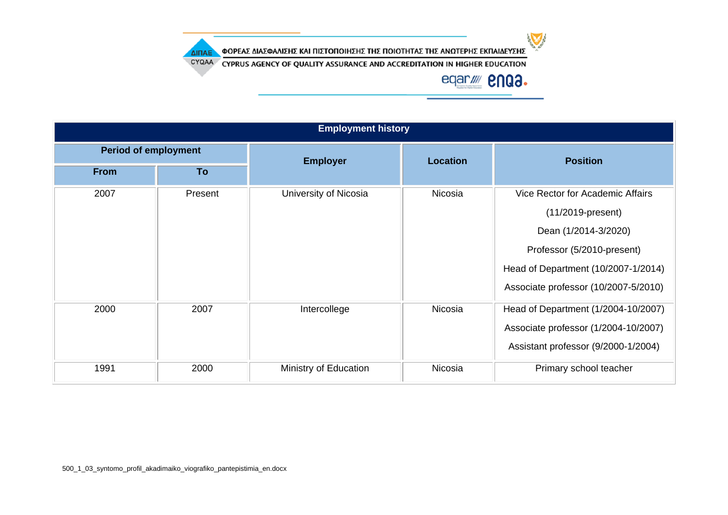$\sum$ 

ΦΟΡΕΑΣ ΔΙΑΣΦΑΛΙΣΗΣ ΚΑΙ ΠΙΣΤΟΠΟΙΗΣΗΣ ΤΗΣ ΠΟΙΟΤΗΤΑΣ ΤΗΣ ΑΝΩΤΕΡΗΣ ΕΚΠΑΙΔΕΥΣΗΣ

CYQAA CYPRUS AGENCY OF QUALITY ASSURANCE AND ACCREDITATION IN HIGHER EDUCATION

# eqar/ **2003.**

| <b>Employment history</b>   |         |                       |                 |                                      |  |  |
|-----------------------------|---------|-----------------------|-----------------|--------------------------------------|--|--|
| <b>Period of employment</b> |         | <b>Employer</b>       | <b>Location</b> | <b>Position</b>                      |  |  |
| <b>From</b>                 | To      |                       |                 |                                      |  |  |
| 2007                        | Present | University of Nicosia | Nicosia         | Vice Rector for Academic Affairs     |  |  |
|                             |         |                       |                 | $(11/2019$ -present)                 |  |  |
|                             |         |                       |                 | Dean (1/2014-3/2020)                 |  |  |
|                             |         |                       |                 | Professor (5/2010-present)           |  |  |
|                             |         |                       |                 | Head of Department (10/2007-1/2014)  |  |  |
|                             |         |                       |                 | Associate professor (10/2007-5/2010) |  |  |
| 2000                        | 2007    | Intercollege          | Nicosia         | Head of Department (1/2004-10/2007)  |  |  |
|                             |         |                       |                 | Associate professor (1/2004-10/2007) |  |  |
|                             |         |                       |                 | Assistant professor (9/2000-1/2004)  |  |  |
| 1991                        | 2000    | Ministry of Education | Nicosia         | Primary school teacher               |  |  |

ΔΙΠΑΕ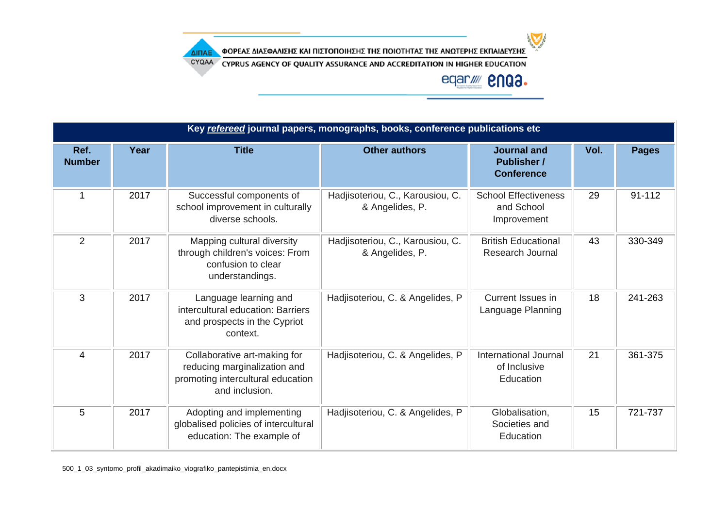

CYQAA CYPRUS AGENCY OF QUALITY ASSURANCE AND ACCREDITATION IN HIGHER EDUCATION

# eqar//// **2NQ3.**

| Key refereed journal papers, monographs, books, conference publications etc |      |                                                                                                                     |                                                     |                                                               |      |              |
|-----------------------------------------------------------------------------|------|---------------------------------------------------------------------------------------------------------------------|-----------------------------------------------------|---------------------------------------------------------------|------|--------------|
| Ref.<br><b>Number</b>                                                       | Year | <b>Title</b>                                                                                                        | <b>Other authors</b>                                | <b>Journal and</b><br><b>Publisher /</b><br><b>Conference</b> | Vol. | <b>Pages</b> |
| 1                                                                           | 2017 | Successful components of<br>school improvement in culturally<br>diverse schools.                                    | Hadjisoteriou, C., Karousiou, C.<br>& Angelides, P. | <b>School Effectiveness</b><br>and School<br>Improvement      | 29   | 91-112       |
| $\overline{2}$                                                              | 2017 | Mapping cultural diversity<br>through children's voices: From<br>confusion to clear<br>understandings.              | Hadjisoteriou, C., Karousiou, C.<br>& Angelides, P. | <b>British Educational</b><br><b>Research Journal</b>         | 43   | 330-349      |
| 3                                                                           | 2017 | Language learning and<br>intercultural education: Barriers<br>and prospects in the Cypriot<br>context.              | Hadjisoteriou, C. & Angelides, P                    | <b>Current Issues in</b><br>Language Planning                 | 18   | 241-263      |
| 4                                                                           | 2017 | Collaborative art-making for<br>reducing marginalization and<br>promoting intercultural education<br>and inclusion. | Hadjisoteriou, C. & Angelides, P                    | International Journal<br>of Inclusive<br>Education            | 21   | 361-375      |
| 5                                                                           | 2017 | Adopting and implementing<br>globalised policies of intercultural<br>education: The example of                      | Hadjisoteriou, C. & Angelides, P                    | Globalisation,<br>Societies and<br>Education                  | 15   | 721-737      |

ΔΙΠΑΕ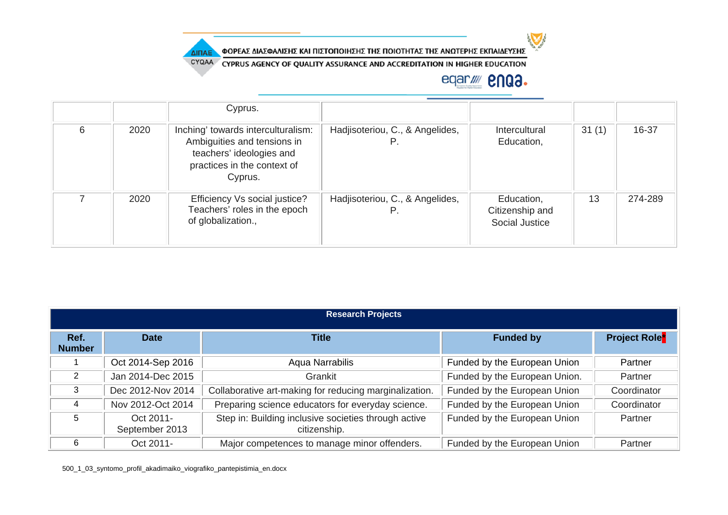

CYQAA CYPRUS AGENCY OF QUALITY ASSURANCE AND ACCREDITATION IN HIGHER EDUCATION

### eqar/ **2003.**

 $\sum$ 

|   |      | Cyprus.                                                                                                                                 |                                       |                                                 |       |         |
|---|------|-----------------------------------------------------------------------------------------------------------------------------------------|---------------------------------------|-------------------------------------------------|-------|---------|
| 6 | 2020 | Inching' towards interculturalism:<br>Ambiguities and tensions in<br>teachers' ideologies and<br>practices in the context of<br>Cyprus. | Hadjisoteriou, C., & Angelides,<br>Р. | Intercultural<br>Education,                     | 31(1) | 16-37   |
|   | 2020 | Efficiency Vs social justice?<br>Teachers' roles in the epoch<br>of globalization.,                                                     | Hadjisoteriou, C., & Angelides,       | Education,<br>Citizenship and<br>Social Justice | 13    | 274-289 |

| <b>Research Projects</b> |                             |                                                                      |                               |                                 |  |  |
|--------------------------|-----------------------------|----------------------------------------------------------------------|-------------------------------|---------------------------------|--|--|
| Ref.<br><b>Number</b>    | <b>Date</b>                 | Title                                                                | <b>Funded by</b>              | <b>Project Role<sup>*</sup></b> |  |  |
|                          | Oct 2014-Sep 2016           | Aqua Narrabilis                                                      | Funded by the European Union  | Partner                         |  |  |
| 2                        | Jan 2014-Dec 2015           | Grankit                                                              | Funded by the European Union. | Partner                         |  |  |
| 3                        | Dec 2012-Nov 2014           | Collaborative art-making for reducing marginalization.               | Funded by the European Union  | Coordinator                     |  |  |
| 4                        | Nov 2012-Oct 2014           | Preparing science educators for everyday science.                    | Funded by the European Union  | Coordinator                     |  |  |
| 5                        | Oct 2011-<br>September 2013 | Step in: Building inclusive societies through active<br>citizenship. | Funded by the European Union  | Partner                         |  |  |
| 6                        | Oct 2011-                   | Major competences to manage minor offenders.                         | Funded by the European Union  | Partner                         |  |  |

500\_1\_03\_syntomo\_profil\_akadimaiko\_viografiko\_pantepistimia\_en.docx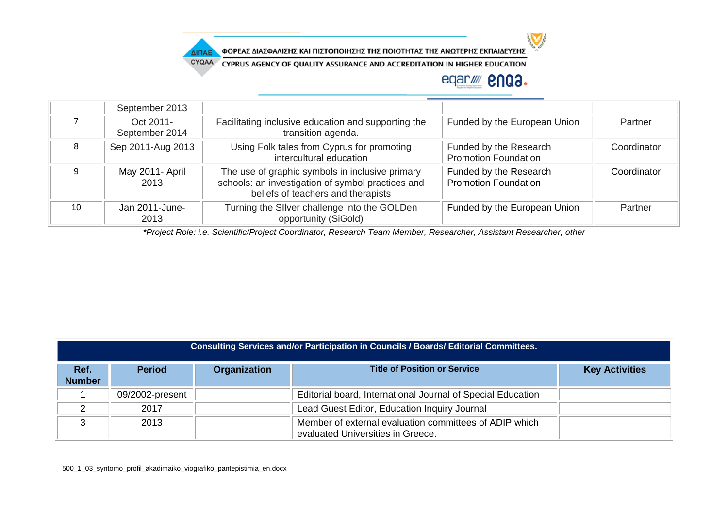

CYQAA CYPRUS AGENCY OF QUALITY ASSURANCE AND ACCREDITATION IN HIGHER EDUCATION

### eqar//// **2NQ3.**

|    | September 2013              |                                                                                                                                            |                                                       |             |
|----|-----------------------------|--------------------------------------------------------------------------------------------------------------------------------------------|-------------------------------------------------------|-------------|
|    | Oct 2011-<br>September 2014 | Facilitating inclusive education and supporting the<br>transition agenda.                                                                  | Funded by the European Union                          | Partner     |
| 8  | Sep 2011-Aug 2013           | Using Folk tales from Cyprus for promoting<br>intercultural education                                                                      | Funded by the Research<br><b>Promotion Foundation</b> | Coordinator |
| g  | May 2011- April<br>2013     | The use of graphic symbols in inclusive primary<br>schools: an investigation of symbol practices and<br>beliefs of teachers and therapists | Funded by the Research<br><b>Promotion Foundation</b> | Coordinator |
| 10 | Jan 2011-June-<br>2013      | Turning the SIIver challenge into the GOLDen<br>opportunity (SiGold)                                                                       | Funded by the European Union                          | Partner     |

*\*Project Role: i.e. Scientific/Project Coordinator, Research Team Member, Researcher, Assistant Researcher, other*

| Consulting Services and/or Participation in Councils / Boards/ Editorial Committees. |                 |              |                                                                                             |                       |  |  |
|--------------------------------------------------------------------------------------|-----------------|--------------|---------------------------------------------------------------------------------------------|-----------------------|--|--|
| Ref.<br><b>Number</b>                                                                | <b>Period</b>   | Organization | <b>Title of Position or Service</b>                                                         | <b>Key Activities</b> |  |  |
|                                                                                      | 09/2002-present |              | Editorial board, International Journal of Special Education                                 |                       |  |  |
|                                                                                      | 2017            |              | Lead Guest Editor, Education Inquiry Journal                                                |                       |  |  |
|                                                                                      | 2013            |              | Member of external evaluation committees of ADIP which<br>evaluated Universities in Greece. |                       |  |  |

ΔΙΠΑΕ